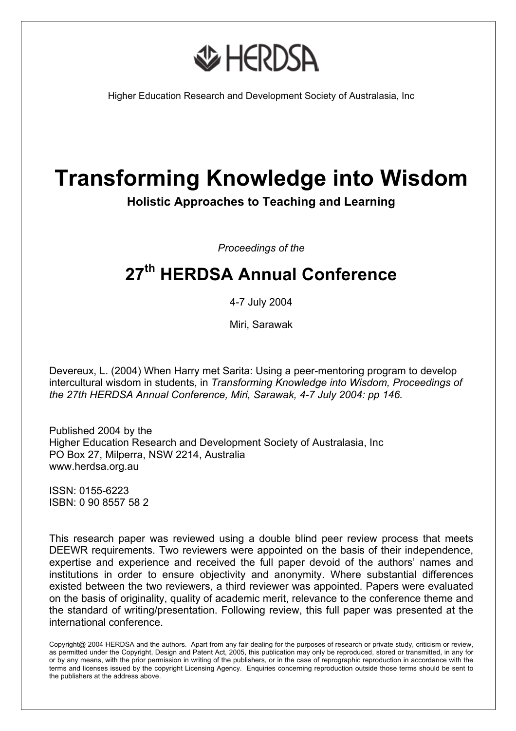

Higher Education Research and Development Society of Australasia, Inc

# **Transforming Knowledge into Wisdom**

**Holistic Approaches to Teaching and Learning**

*Proceedings of the* 

## **27th HERDSA Annual Conference**

4-7 July 2004

Miri, Sarawak

Devereux, L. (2004) When Harry met Sarita: Using a peer-mentoring program to develop intercultural wisdom in students, in *Transforming Knowledge into Wisdom, Proceedings of the 27th HERDSA Annual Conference, Miri, Sarawak, 4-7 July 2004: pp 146.*

Published 2004 by the Higher Education Research and Development Society of Australasia, Inc PO Box 27, Milperra, NSW 2214, Australia www.herdsa.org.au

ISSN: 0155-6223 ISBN: 0 90 8557 58 2

This research paper was reviewed using a double blind peer review process that meets DEEWR requirements. Two reviewers were appointed on the basis of their independence, expertise and experience and received the full paper devoid of the authors' names and institutions in order to ensure objectivity and anonymity. Where substantial differences existed between the two reviewers, a third reviewer was appointed. Papers were evaluated on the basis of originality, quality of academic merit, relevance to the conference theme and the standard of writing/presentation. Following review, this full paper was presented at the international conference.

Copyright@ 2004 HERDSA and the authors. Apart from any fair dealing for the purposes of research or private study, criticism or review, as permitted under the Copyright, Design and Patent Act, 2005, this publication may only be reproduced, stored or transmitted, in any for or by any means, with the prior permission in writing of the publishers, or in the case of reprographic reproduction in accordance with the terms and licenses issued by the copyright Licensing Agency. Enquiries concerning reproduction outside those terms should be sent to the publishers at the address above.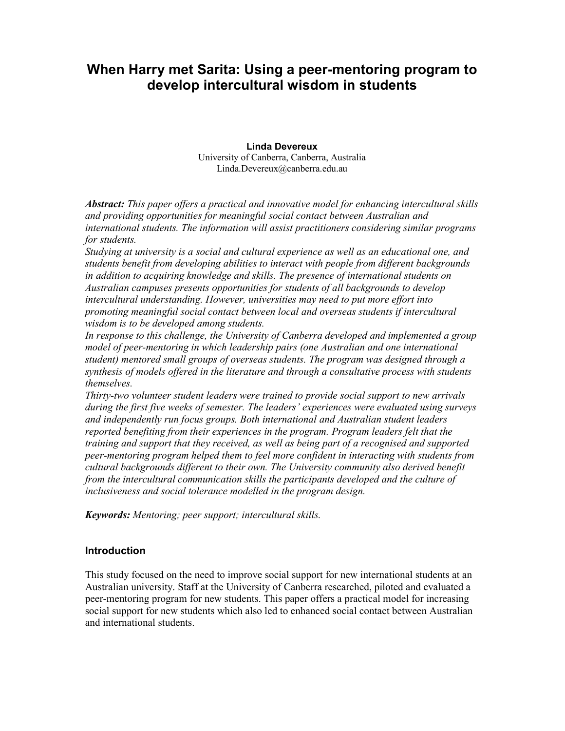### When Harry met Sarita: Using a peer-mentoring program to develop intercultural wisdom in students

Linda Devereux University of Canberra, Canberra, Australia Linda.Devereux@canberra.edu.au

Abstract: This paper offers a practical and innovative model for enhancing intercultural skills and providing opportunities for meaningful social contact between Australian and international students. The information will assist practitioners considering similar programs for students.

Studying at university is a social and cultural experience as well as an educational one, and students benefit from developing abilities to interact with people from different backgrounds in addition to acquiring knowledge and skills. The presence of international students on Australian campuses presents opportunities for students of all backgrounds to develop intercultural understanding. However, universities may need to put more effort into promoting meaningful social contact between local and overseas students if intercultural wisdom is to be developed among students.

In response to this challenge, the University of Canberra developed and implemented a group model of peer-mentoring in which leadership pairs (one Australian and one international student) mentored small groups of overseas students. The program was designed through a synthesis of models offered in the literature and through a consultative process with students themselves.

Thirty-two volunteer student leaders were trained to provide social support to new arrivals during the first five weeks of semester. The leaders' experiences were evaluated using surveys and independently run focus groups. Both international and Australian student leaders reported benefiting from their experiences in the program. Program leaders felt that the training and support that they received, as well as being part of a recognised and supported peer-mentoring program helped them to feel more confident in interacting with students from cultural backgrounds different to their own. The University community also derived benefit from the intercultural communication skills the participants developed and the culture of inclusiveness and social tolerance modelled in the program design.

Keywords: Mentoring; peer support; intercultural skills.

#### **Introduction**

This study focused on the need to improve social support for new international students at an Australian university. Staff at the University of Canberra researched, piloted and evaluated a peer-mentoring program for new students. This paper offers a practical model for increasing social support for new students which also led to enhanced social contact between Australian and international students.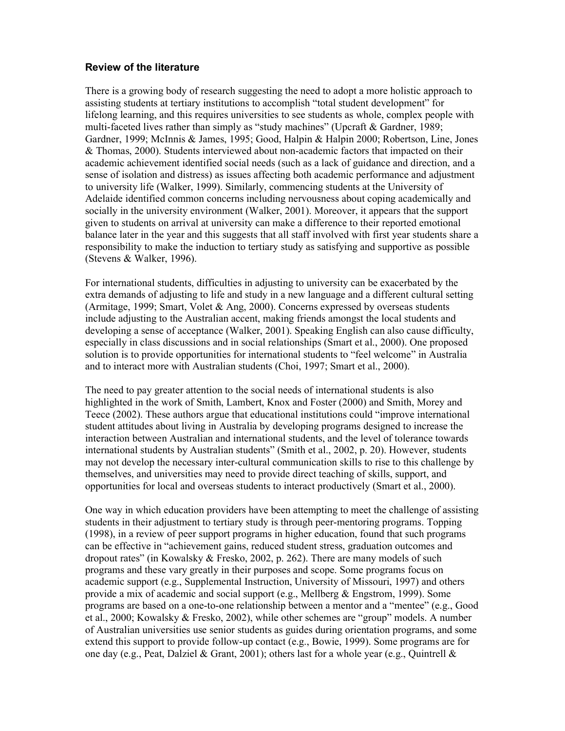#### Review of the literature

There is a growing body of research suggesting the need to adopt a more holistic approach to assisting students at tertiary institutions to accomplish "total student development" for lifelong learning, and this requires universities to see students as whole, complex people with multi-faceted lives rather than simply as "study machines" (Upcraft & Gardner, 1989; Gardner, 1999; McInnis & James, 1995; Good, Halpin & Halpin 2000; Robertson, Line, Jones & Thomas, 2000). Students interviewed about non-academic factors that impacted on their academic achievement identified social needs (such as a lack of guidance and direction, and a sense of isolation and distress) as issues affecting both academic performance and adjustment to university life (Walker, 1999). Similarly, commencing students at the University of Adelaide identified common concerns including nervousness about coping academically and socially in the university environment (Walker, 2001). Moreover, it appears that the support given to students on arrival at university can make a difference to their reported emotional balance later in the year and this suggests that all staff involved with first year students share a responsibility to make the induction to tertiary study as satisfying and supportive as possible (Stevens & Walker, 1996).

For international students, difficulties in adjusting to university can be exacerbated by the extra demands of adjusting to life and study in a new language and a different cultural setting (Armitage, 1999; Smart, Volet  $&$  Ang, 2000). Concerns expressed by overseas students include adjusting to the Australian accent, making friends amongst the local students and developing a sense of acceptance (Walker, 2001). Speaking English can also cause difficulty, especially in class discussions and in social relationships (Smart et al., 2000). One proposed solution is to provide opportunities for international students to "feel welcome" in Australia and to interact more with Australian students (Choi, 1997; Smart et al., 2000).

The need to pay greater attention to the social needs of international students is also highlighted in the work of Smith, Lambert, Knox and Foster (2000) and Smith, Morey and Teece (2002). These authors argue that educational institutions could "improve international student attitudes about living in Australia by developing programs designed to increase the interaction between Australian and international students, and the level of tolerance towards international students by Australian students" (Smith et al., 2002, p. 20). However, students may not develop the necessary inter-cultural communication skills to rise to this challenge by themselves, and universities may need to provide direct teaching of skills, support, and opportunities for local and overseas students to interact productively (Smart et al., 2000).

One way in which education providers have been attempting to meet the challenge of assisting students in their adjustment to tertiary study is through peer-mentoring programs. Topping (1998), in a review of peer support programs in higher education, found that such programs can be effective in "achievement gains, reduced student stress, graduation outcomes and dropout rates" (in Kowalsky & Fresko, 2002, p. 262). There are many models of such programs and these vary greatly in their purposes and scope. Some programs focus on academic support (e.g., Supplemental Instruction, University of Missouri, 1997) and others provide a mix of academic and social support (e.g., Mellberg & Engstrom, 1999). Some programs are based on a one-to-one relationship between a mentor and a "mentee" (e.g., Good et al., 2000; Kowalsky & Fresko, 2002), while other schemes are "group" models. A number of Australian universities use senior students as guides during orientation programs, and some extend this support to provide follow-up contact (e.g., Bowie, 1999). Some programs are for one day (e.g., Peat, Dalziel & Grant, 2001); others last for a whole year (e.g., Quintrell &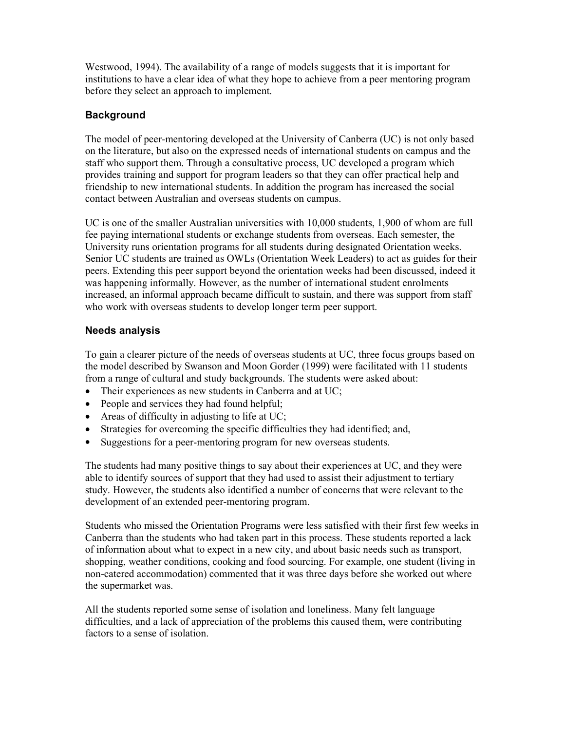Westwood, 1994). The availability of a range of models suggests that it is important for institutions to have a clear idea of what they hope to achieve from a peer mentoring program before they select an approach to implement.

#### **Background**

The model of peer-mentoring developed at the University of Canberra (UC) is not only based on the literature, but also on the expressed needs of international students on campus and the staff who support them. Through a consultative process, UC developed a program which provides training and support for program leaders so that they can offer practical help and friendship to new international students. In addition the program has increased the social contact between Australian and overseas students on campus.

UC is one of the smaller Australian universities with 10,000 students, 1,900 of whom are full fee paying international students or exchange students from overseas. Each semester, the University runs orientation programs for all students during designated Orientation weeks. Senior UC students are trained as OWLs (Orientation Week Leaders) to act as guides for their peers. Extending this peer support beyond the orientation weeks had been discussed, indeed it was happening informally. However, as the number of international student enrolments increased, an informal approach became difficult to sustain, and there was support from staff who work with overseas students to develop longer term peer support.

#### Needs analysis

To gain a clearer picture of the needs of overseas students at UC, three focus groups based on the model described by Swanson and Moon Gorder (1999) were facilitated with 11 students from a range of cultural and study backgrounds. The students were asked about:

- Their experiences as new students in Canberra and at UC;
- People and services they had found helpful;
- Areas of difficulty in adjusting to life at UC;
- Strategies for overcoming the specific difficulties they had identified; and,
- Suggestions for a peer-mentoring program for new overseas students.

The students had many positive things to say about their experiences at UC, and they were able to identify sources of support that they had used to assist their adjustment to tertiary study. However, the students also identified a number of concerns that were relevant to the development of an extended peer-mentoring program.

Students who missed the Orientation Programs were less satisfied with their first few weeks in Canberra than the students who had taken part in this process. These students reported a lack of information about what to expect in a new city, and about basic needs such as transport, shopping, weather conditions, cooking and food sourcing. For example, one student (living in non-catered accommodation) commented that it was three days before she worked out where the supermarket was.

All the students reported some sense of isolation and loneliness. Many felt language difficulties, and a lack of appreciation of the problems this caused them, were contributing factors to a sense of isolation.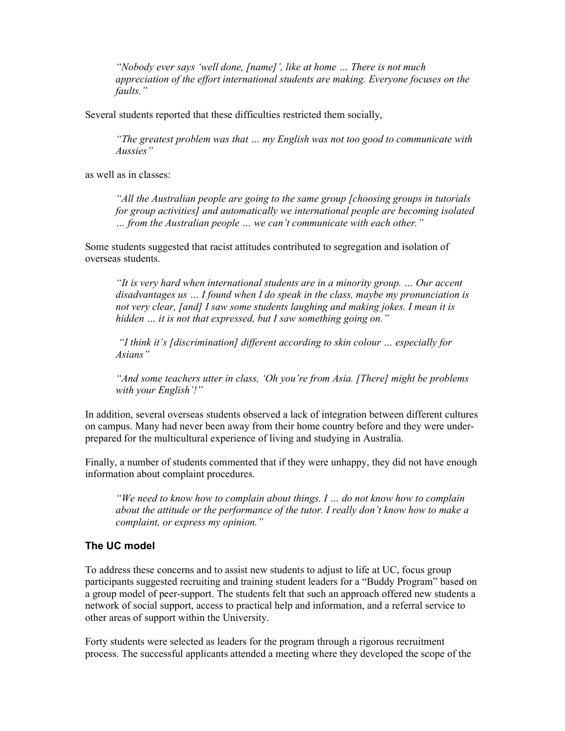"Nobody ever says 'well done, [name]', like at home … There is not much appreciation of the effort international students are making. Everyone focuses on the faults."

Several students reported that these difficulties restricted them socially,

"The greatest problem was that … my English was not too good to communicate with Aussies"

as well as in classes:

"All the Australian people are going to the same group [choosing groups in tutorials for group activities] and automatically we international people are becoming isolated … from the Australian people … we can't communicate with each other."

Some students suggested that racist attitudes contributed to segregation and isolation of overseas students.

"It is very hard when international students are in a minority group. … Our accent disadvantages us  $\ldots$  I found when I do speak in the class, maybe my pronunciation is not very clear, [and] I saw some students laughing and making jokes. I mean it is hidden ... it is not that expressed, but I saw something going on."

 "I think it's [discrimination] different according to skin colour … especially for Asians"

"And some teachers utter in class, 'Oh you're from Asia. [There] might be problems with your English'!"

In addition, several overseas students observed a lack of integration between different cultures on campus. Many had never been away from their home country before and they were underprepared for the multicultural experience of living and studying in Australia.

Finally, a number of students commented that if they were unhappy, they did not have enough information about complaint procedures.

"We need to know how to complain about things. I … do not know how to complain about the attitude or the performance of the tutor. I really don't know how to make a complaint, or express my opinion."

#### The UC model

To address these concerns and to assist new students to adjust to life at UC, focus group participants suggested recruiting and training student leaders for a "Buddy Program" based on a group model of peer-support. The students felt that such an approach offered new students a network of social support, access to practical help and information, and a referral service to other areas of support within the University.

Forty students were selected as leaders for the program through a rigorous recruitment process. The successful applicants attended a meeting where they developed the scope of the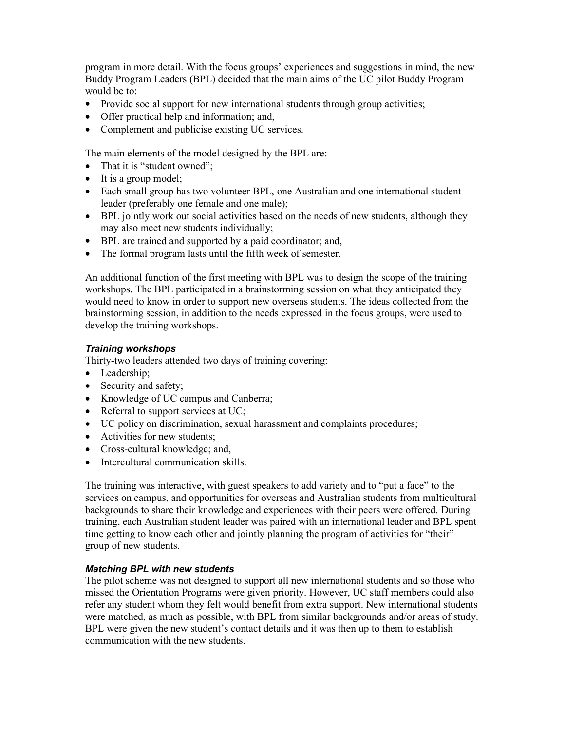program in more detail. With the focus groups' experiences and suggestions in mind, the new Buddy Program Leaders (BPL) decided that the main aims of the UC pilot Buddy Program would be to:

- Provide social support for new international students through group activities;
- Offer practical help and information; and,
- Complement and publicise existing UC services.

The main elements of the model designed by the BPL are:

- That it is "student owned";
- It is a group model;
- Each small group has two volunteer BPL, one Australian and one international student leader (preferably one female and one male);
- BPL jointly work out social activities based on the needs of new students, although they may also meet new students individually;
- BPL are trained and supported by a paid coordinator; and,
- The formal program lasts until the fifth week of semester.

An additional function of the first meeting with BPL was to design the scope of the training workshops. The BPL participated in a brainstorming session on what they anticipated they would need to know in order to support new overseas students. The ideas collected from the brainstorming session, in addition to the needs expressed in the focus groups, were used to develop the training workshops.

#### Training workshops

Thirty-two leaders attended two days of training covering:

- Leadership;
- Security and safety;
- Knowledge of UC campus and Canberra;
- Referral to support services at UC;
- UC policy on discrimination, sexual harassment and complaints procedures;
- Activities for new students;
- Cross-cultural knowledge; and,
- Intercultural communication skills.

The training was interactive, with guest speakers to add variety and to "put a face" to the services on campus, and opportunities for overseas and Australian students from multicultural backgrounds to share their knowledge and experiences with their peers were offered. During training, each Australian student leader was paired with an international leader and BPL spent time getting to know each other and jointly planning the program of activities for "their" group of new students.

#### Matching BPL with new students

The pilot scheme was not designed to support all new international students and so those who missed the Orientation Programs were given priority. However, UC staff members could also refer any student whom they felt would benefit from extra support. New international students were matched, as much as possible, with BPL from similar backgrounds and/or areas of study. BPL were given the new student's contact details and it was then up to them to establish communication with the new students.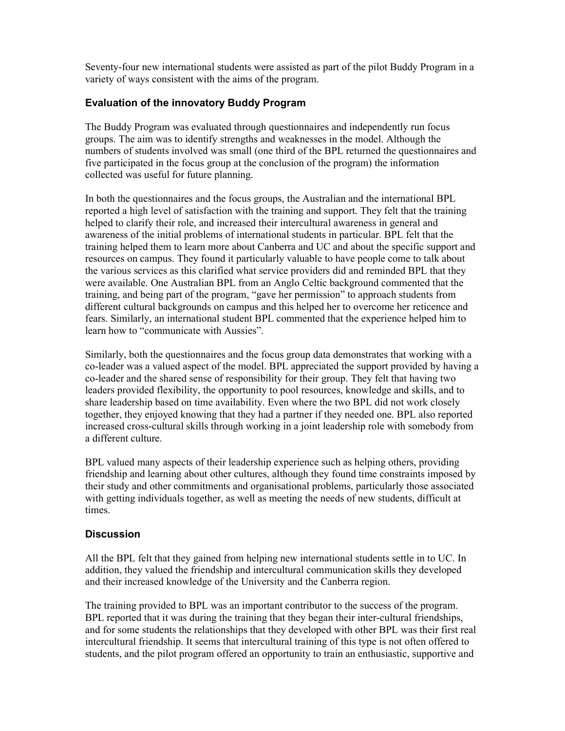Seventy-four new international students were assisted as part of the pilot Buddy Program in a variety of ways consistent with the aims of the program.

#### Evaluation of the innovatory Buddy Program

The Buddy Program was evaluated through questionnaires and independently run focus groups. The aim was to identify strengths and weaknesses in the model. Although the numbers of students involved was small (one third of the BPL returned the questionnaires and five participated in the focus group at the conclusion of the program) the information collected was useful for future planning.

In both the questionnaires and the focus groups, the Australian and the international BPL reported a high level of satisfaction with the training and support. They felt that the training helped to clarify their role, and increased their intercultural awareness in general and awareness of the initial problems of international students in particular. BPL felt that the training helped them to learn more about Canberra and UC and about the specific support and resources on campus. They found it particularly valuable to have people come to talk about the various services as this clarified what service providers did and reminded BPL that they were available. One Australian BPL from an Anglo Celtic background commented that the training, and being part of the program, "gave her permission" to approach students from different cultural backgrounds on campus and this helped her to overcome her reticence and fears. Similarly, an international student BPL commented that the experience helped him to learn how to "communicate with Aussies".

Similarly, both the questionnaires and the focus group data demonstrates that working with a co-leader was a valued aspect of the model. BPL appreciated the support provided by having a co-leader and the shared sense of responsibility for their group. They felt that having two leaders provided flexibility, the opportunity to pool resources, knowledge and skills, and to share leadership based on time availability. Even where the two BPL did not work closely together, they enjoyed knowing that they had a partner if they needed one. BPL also reported increased cross-cultural skills through working in a joint leadership role with somebody from a different culture.

BPL valued many aspects of their leadership experience such as helping others, providing friendship and learning about other cultures, although they found time constraints imposed by their study and other commitments and organisational problems, particularly those associated with getting individuals together, as well as meeting the needs of new students, difficult at times.

#### **Discussion**

All the BPL felt that they gained from helping new international students settle in to UC. In addition, they valued the friendship and intercultural communication skills they developed and their increased knowledge of the University and the Canberra region.

The training provided to BPL was an important contributor to the success of the program. BPL reported that it was during the training that they began their inter-cultural friendships, and for some students the relationships that they developed with other BPL was their first real intercultural friendship. It seems that intercultural training of this type is not often offered to students, and the pilot program offered an opportunity to train an enthusiastic, supportive and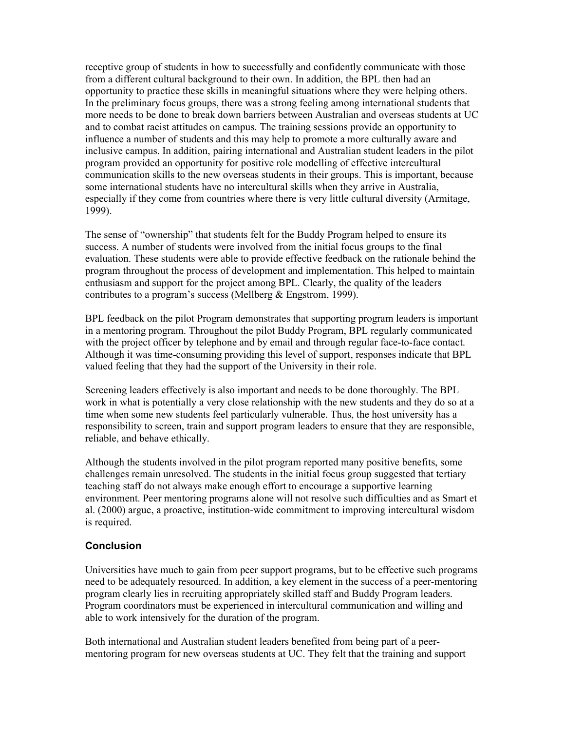receptive group of students in how to successfully and confidently communicate with those from a different cultural background to their own. In addition, the BPL then had an opportunity to practice these skills in meaningful situations where they were helping others. In the preliminary focus groups, there was a strong feeling among international students that more needs to be done to break down barriers between Australian and overseas students at UC and to combat racist attitudes on campus. The training sessions provide an opportunity to influence a number of students and this may help to promote a more culturally aware and inclusive campus. In addition, pairing international and Australian student leaders in the pilot program provided an opportunity for positive role modelling of effective intercultural communication skills to the new overseas students in their groups. This is important, because some international students have no intercultural skills when they arrive in Australia, especially if they come from countries where there is very little cultural diversity (Armitage, 1999).

The sense of "ownership" that students felt for the Buddy Program helped to ensure its success. A number of students were involved from the initial focus groups to the final evaluation. These students were able to provide effective feedback on the rationale behind the program throughout the process of development and implementation. This helped to maintain enthusiasm and support for the project among BPL. Clearly, the quality of the leaders contributes to a program's success (Mellberg & Engstrom, 1999).

BPL feedback on the pilot Program demonstrates that supporting program leaders is important in a mentoring program. Throughout the pilot Buddy Program, BPL regularly communicated with the project officer by telephone and by email and through regular face-to-face contact. Although it was time-consuming providing this level of support, responses indicate that BPL valued feeling that they had the support of the University in their role.

Screening leaders effectively is also important and needs to be done thoroughly. The BPL work in what is potentially a very close relationship with the new students and they do so at a time when some new students feel particularly vulnerable. Thus, the host university has a responsibility to screen, train and support program leaders to ensure that they are responsible, reliable, and behave ethically.

Although the students involved in the pilot program reported many positive benefits, some challenges remain unresolved. The students in the initial focus group suggested that tertiary teaching staff do not always make enough effort to encourage a supportive learning environment. Peer mentoring programs alone will not resolve such difficulties and as Smart et al. (2000) argue, a proactive, institution-wide commitment to improving intercultural wisdom is required.

#### **Conclusion**

Universities have much to gain from peer support programs, but to be effective such programs need to be adequately resourced. In addition, a key element in the success of a peer-mentoring program clearly lies in recruiting appropriately skilled staff and Buddy Program leaders. Program coordinators must be experienced in intercultural communication and willing and able to work intensively for the duration of the program.

Both international and Australian student leaders benefited from being part of a peermentoring program for new overseas students at UC. They felt that the training and support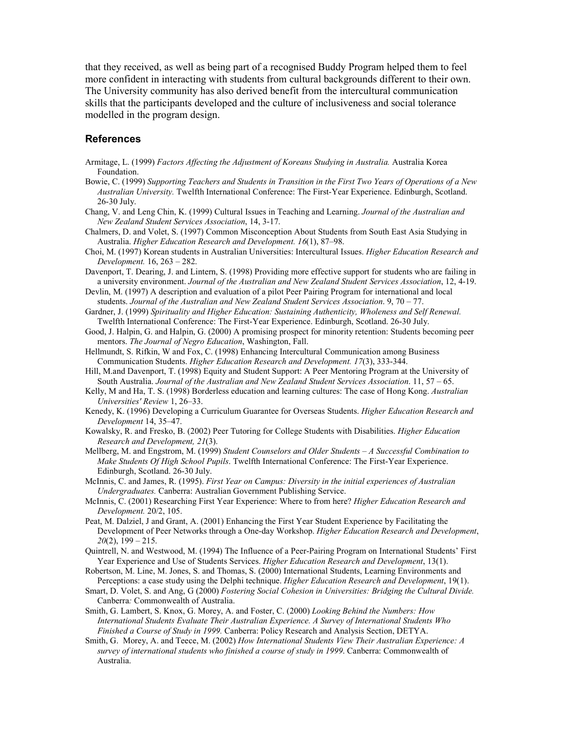that they received, as well as being part of a recognised Buddy Program helped them to feel more confident in interacting with students from cultural backgrounds different to their own. The University community has also derived benefit from the intercultural communication skills that the participants developed and the culture of inclusiveness and social tolerance modelled in the program design.

#### References

- Armitage, L. (1999) Factors Affecting the Adjustment of Koreans Studying in Australia. Australia Korea Foundation.
- Bowie, C. (1999) Supporting Teachers and Students in Transition in the First Two Years of Operations of a New Australian University. Twelfth International Conference: The First-Year Experience. Edinburgh, Scotland. 26-30 July.
- Chang, V. and Leng Chin, K. (1999) Cultural Issues in Teaching and Learning. Journal of the Australian and New Zealand Student Services Association, 14, 3-17.
- Chalmers, D. and Volet, S. (1997) Common Misconception About Students from South East Asia Studying in Australia. Higher Education Research and Development. 16(1), 87–98.
- Choi, M. (1997) Korean students in Australian Universities: Intercultural Issues. Higher Education Research and Development. 16, 263 – 282.
- Davenport, T. Dearing, J. and Lintern, S. (1998) Providing more effective support for students who are failing in a university environment. Journal of the Australian and New Zealand Student Services Association, 12, 4-19.
- Devlin, M. (1997) A description and evaluation of a pilot Peer Pairing Program for international and local students. Journal of the Australian and New Zealand Student Services Association. 9, 70 – 77.
- Gardner, J. (1999) Spirituality and Higher Education: Sustaining Authenticity, Wholeness and Self Renewal. Twelfth International Conference: The First-Year Experience. Edinburgh, Scotland. 26-30 July.
- Good, J. Halpin, G. and Halpin, G. (2000) A promising prospect for minority retention: Students becoming peer mentors. The Journal of Negro Education, Washington, Fall.
- Hellmundt, S. Rifkin, W and Fox, C. (1998) Enhancing Intercultural Communication among Business Communication Students. Higher Education Research and Development. 17(3), 333-344.
- Hill, M.and Davenport, T. (1998) Equity and Student Support: A Peer Mentoring Program at the University of South Australia. Journal of the Australian and New Zealand Student Services Association. 11, 57 – 65.
- Kelly, M and Ha, T. S. (1998) Borderless education and learning cultures: The case of Hong Kong. Australian Universities' Review 1, 26–33.
- Kenedy, K. (1996) Developing a Curriculum Guarantee for Overseas Students. Higher Education Research and Development 14, 35–47.
- Kowalsky, R. and Fresko, B. (2002) Peer Tutoring for College Students with Disabilities. Higher Education Research and Development, 21(3).
- Mellberg, M. and Engstrom, M. (1999) Student Counselors and Older Students  $-A$  Successful Combination to Make Students Of High School Pupils. Twelfth International Conference: The First-Year Experience. Edinburgh, Scotland. 26-30 July.
- McInnis, C. and James, R. (1995). First Year on Campus: Diversity in the initial experiences of Australian Undergraduates. Canberra: Australian Government Publishing Service.
- McInnis, C. (2001) Researching First Year Experience: Where to from here? Higher Education Research and Development. 20/2, 105.
- Peat, M. Dalziel, J and Grant, A. (2001) Enhancing the First Year Student Experience by Facilitating the Development of Peer Networks through a One-day Workshop. Higher Education Research and Development,  $20(2)$ ,  $199 - 215$ .
- Quintrell, N. and Westwood, M. (1994) The Influence of a Peer-Pairing Program on International Students' First Year Experience and Use of Students Services. Higher Education Research and Development, 13(1).
- Robertson, M. Line, M. Jones, S. and Thomas, S. (2000) International Students, Learning Environments and Perceptions: a case study using the Delphi technique. Higher Education Research and Development, 19(1).
- Smart, D. Volet, S. and Ang, G (2000) Fostering Social Cohesion in Universities: Bridging the Cultural Divide. Canberra: Commonwealth of Australia.
- Smith, G. Lambert, S. Knox, G. Morey, A. and Foster, C. (2000) Looking Behind the Numbers: How International Students Evaluate Their Australian Experience. A Survey of International Students Who Finished a Course of Study in 1999. Canberra: Policy Research and Analysis Section, DETYA.
- Smith, G. Morey, A. and Teece, M. (2002) How International Students View Their Australian Experience: A survey of international students who finished a course of study in 1999. Canberra: Commonwealth of Australia.